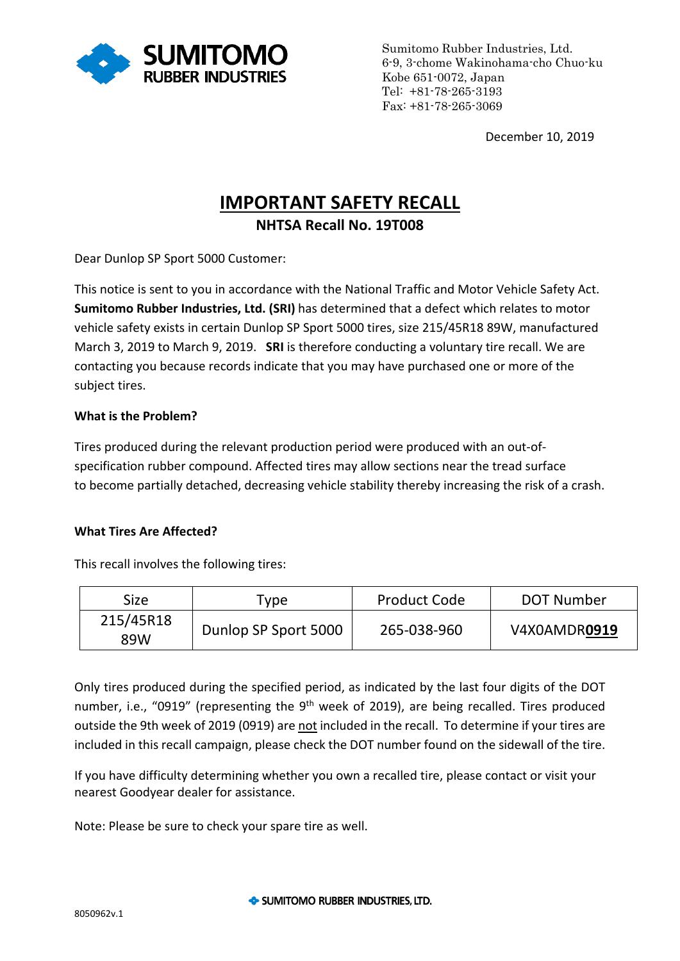

Sumitomo Rubber Industries, Ltd. 6-9, 3-chome Wakinohama-cho Chuo-ku Kobe 651-0072, Japan Tel: +81-78-265-3193 Fax: +81-78-265-3069

December 10, 2019

# **IMPORTANT SAFETY RECALL NHTSA Recall No. 19T008**

Dear Dunlop SP Sport 5000 Customer:

This notice is sent to you in accordance with the National Traffic and Motor Vehicle Safety Act. **Sumitomo Rubber Industries, Ltd. (SRI)** has determined that a defect which relates to motor vehicle safety exists in certain Dunlop SP Sport 5000 tires, size 215/45R18 89W, manufactured March 3, 2019 to March 9, 2019. **SRI** is therefore conducting a voluntary tire recall. We are contacting you because records indicate that you may have purchased one or more of the subject tires.

## **What is the Problem?**

Tires produced during the relevant production period were produced with an out-ofspecification rubber compound. Affected tires may allow sections near the tread surface to become partially detached, decreasing vehicle stability thereby increasing the risk of a crash.

## **What Tires Are Affected?**

This recall involves the following tires:

| Size             | vpe <sup>-</sup>     | <b>Product Code</b> | DOT Number   |
|------------------|----------------------|---------------------|--------------|
| 215/45R18<br>89W | Dunlop SP Sport 5000 | 265-038-960         | V4X0AMDR0919 |

Only tires produced during the specified period, as indicated by the last four digits of the DOT number, i.e., "0919" (representing the  $9<sup>th</sup>$  week of 2019), are being recalled. Tires produced outside the 9th week of 2019 (0919) are not included in the recall. To determine if your tires are included in this recall campaign, please check the DOT number found on the sidewall of the tire.

If you have difficulty determining whether you own a recalled tire, please contact or visit your nearest Goodyear dealer for assistance.

Note: Please be sure to check your spare tire as well.